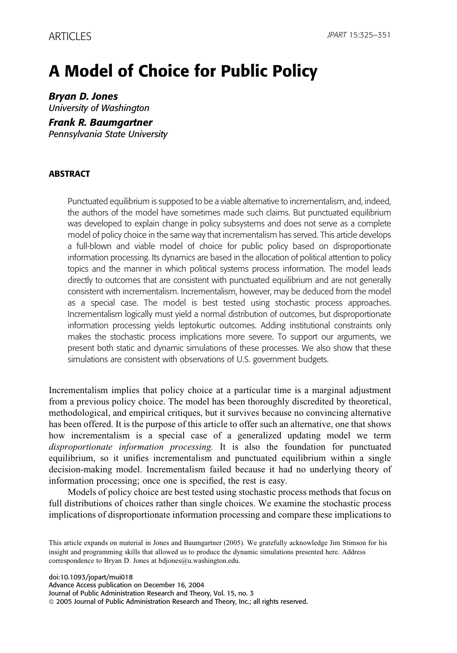# A Model of Choice for Public Policy

Bryan D. Jones University of Washington Frank R. Baumgartner Pennsylvania State University

# ABSTRACT

Punctuated equilibrium is supposed to be a viable alternative to incrementalism, and, indeed, the authors of the model have sometimes made such claims. But punctuated equilibrium was developed to explain change in policy subsystems and does not serve as a complete model of policy choice in the same way that incrementalism has served. This article develops a full-blown and viable model of choice for public policy based on disproportionate information processing. Its dynamics are based in the allocation of political attention to policy topics and the manner in which political systems process information. The model leads directly to outcomes that are consistent with punctuated equilibrium and are not generally consistent with incrementalism. Incrementalism, however, may be deduced from the model as a special case. The model is best tested using stochastic process approaches. Incrementalism logically must yield a normal distribution of outcomes, but disproportionate information processing yields leptokurtic outcomes. Adding institutional constraints only makes the stochastic process implications more severe. To support our arguments, we present both static and dynamic simulations of these processes. We also show that these simulations are consistent with observations of U.S. government budgets.

Incrementalism implies that policy choice at a particular time is a marginal adjustment from a previous policy choice. The model has been thoroughly discredited by theoretical, methodological, and empirical critiques, but it survives because no convincing alternative has been offered. It is the purpose of this article to offer such an alternative, one that shows how incrementalism is a special case of a generalized updating model we term disproportionate information processing. It is also the foundation for punctuated equilibrium, so it unifies incrementalism and punctuated equilibrium within a single decision-making model. Incrementalism failed because it had no underlying theory of information processing; once one is specified, the rest is easy.

Models of policy choice are best tested using stochastic process methods that focus on full distributions of choices rather than single choices. We examine the stochastic process implications of disproportionate information processing and compare these implications to

doi:10.1093/jopart/mui018 Advance Access publication on December 16, 2004 Journal of Public Administration Research and Theory, Vol. 15, no. 3 *ª* 2005 Journal of Public Administration Research and Theory, Inc.; all rights reserved.

This article expands on material in Jones and Baumgartner (2005). We gratefully acknowledge Jim Stimson for his insight and programming skills that allowed us to produce the dynamic simulations presented here. Address correspondence to Bryan D. Jones at bdjones@u.washington.edu.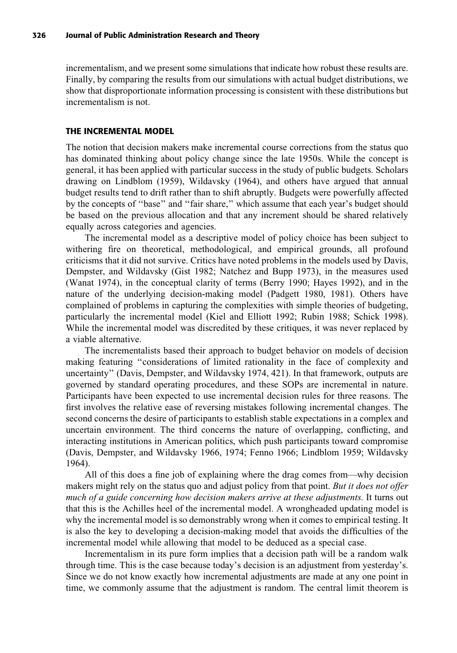incrementalism, and we present some simulations that indicate how robust these results are. Finally, by comparing the results from our simulations with actual budget distributions, we show that disproportionate information processing is consistent with these distributions but incrementalism is not.

# THE INCREMENTAL MODEL

The notion that decision makers make incremental course corrections from the status quo has dominated thinking about policy change since the late 1950s. While the concept is general, it has been applied with particular success in the study of public budgets. Scholars drawing on Lindblom (1959), Wildavsky (1964), and others have argued that annual budget results tend to drift rather than to shift abruptly. Budgets were powerfully affected by the concepts of ''base'' and ''fair share,'' which assume that each year's budget should be based on the previous allocation and that any increment should be shared relatively equally across categories and agencies.

The incremental model as a descriptive model of policy choice has been subject to withering fire on theoretical, methodological, and empirical grounds, all profound criticisms that it did not survive. Critics have noted problems in the models used by Davis, Dempster, and Wildavsky (Gist 1982; Natchez and Bupp 1973), in the measures used (Wanat 1974), in the conceptual clarity of terms (Berry 1990; Hayes 1992), and in the nature of the underlying decision-making model (Padgett 1980, 1981). Others have complained of problems in capturing the complexities with simple theories of budgeting, particularly the incremental model (Kiel and Elliott 1992; Rubin 1988; Schick 1998). While the incremental model was discredited by these critiques, it was never replaced by a viable alternative.

The incrementalists based their approach to budget behavior on models of decision making featuring ''considerations of limited rationality in the face of complexity and uncertainty'' (Davis, Dempster, and Wildavsky 1974, 421). In that framework, outputs are governed by standard operating procedures, and these SOPs are incremental in nature. Participants have been expected to use incremental decision rules for three reasons. The first involves the relative ease of reversing mistakes following incremental changes. The second concerns the desire of participants to establish stable expectations in a complex and uncertain environment. The third concerns the nature of overlapping, conflicting, and interacting institutions in American politics, which push participants toward compromise (Davis, Dempster, and Wildavsky 1966, 1974; Fenno 1966; Lindblom 1959; Wildavsky 1964).

All of this does a fine job of explaining where the drag comes from—why decision makers might rely on the status quo and adjust policy from that point. But it does not offer much of a guide concerning how decision makers arrive at these adjustments. It turns out that this is the Achilles heel of the incremental model. A wrongheaded updating model is why the incremental model is so demonstrably wrong when it comes to empirical testing. It is also the key to developing a decision-making model that avoids the difficulties of the incremental model while allowing that model to be deduced as a special case.

Incrementalism in its pure form implies that a decision path will be a random walk through time. This is the case because today's decision is an adjustment from yesterday's. Since we do not know exactly how incremental adjustments are made at any one point in time, we commonly assume that the adjustment is random. The central limit theorem is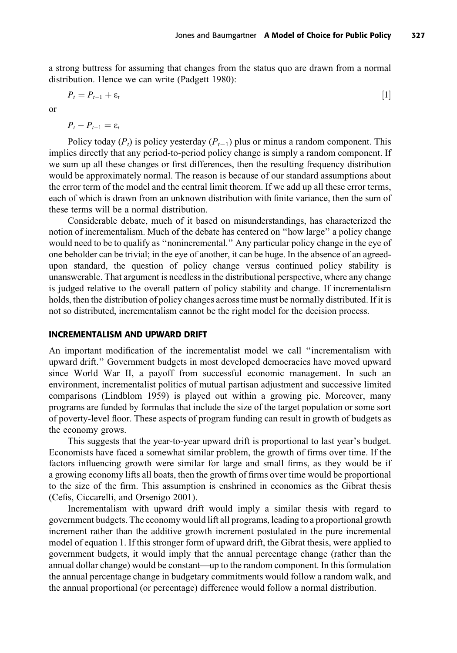a strong buttress for assuming that changes from the status quo are drawn from a normal distribution. Hence we can write (Padgett 1980):

$$
P_t = P_{t-1} + \varepsilon_t \tag{1}
$$

or

$$
P_t-P_{t-1}=\varepsilon_t
$$

Policy today ( $P_t$ ) is policy yesterday ( $P_{t-1}$ ) plus or minus a random component. This implies directly that any period-to-period policy change is simply a random component. If we sum up all these changes or first differences, then the resulting frequency distribution would be approximately normal. The reason is because of our standard assumptions about the error term of the model and the central limit theorem. If we add up all these error terms, each of which is drawn from an unknown distribution with finite variance, then the sum of these terms will be a normal distribution.

Considerable debate, much of it based on misunderstandings, has characterized the notion of incrementalism. Much of the debate has centered on ''how large'' a policy change would need to be to qualify as ''nonincremental.'' Any particular policy change in the eye of one beholder can be trivial; in the eye of another, it can be huge. In the absence of an agreedupon standard, the question of policy change versus continued policy stability is unanswerable. That argument is needless in the distributional perspective, where any change is judged relative to the overall pattern of policy stability and change. If incrementalism holds, then the distribution of policy changes across time must be normally distributed. If it is not so distributed, incrementalism cannot be the right model for the decision process.

# INCREMENTALISM AND UPWARD DRIFT

An important modification of the incrementalist model we call ''incrementalism with upward drift.'' Government budgets in most developed democracies have moved upward since World War II, a payoff from successful economic management. In such an environment, incrementalist politics of mutual partisan adjustment and successive limited comparisons (Lindblom 1959) is played out within a growing pie. Moreover, many programs are funded by formulas that include the size of the target population or some sort of poverty-level floor. These aspects of program funding can result in growth of budgets as the economy grows.

This suggests that the year-to-year upward drift is proportional to last year's budget. Economists have faced a somewhat similar problem, the growth of firms over time. If the factors influencing growth were similar for large and small firms, as they would be if a growing economy lifts all boats, then the growth of firms over time would be proportional to the size of the firm. This assumption is enshrined in economics as the Gibrat thesis (Cefis, Ciccarelli, and Orsenigo 2001).

Incrementalism with upward drift would imply a similar thesis with regard to government budgets. The economy would lift all programs, leading to a proportional growth increment rather than the additive growth increment postulated in the pure incremental model of equation 1. If this stronger form of upward drift, the Gibrat thesis, were applied to government budgets, it would imply that the annual percentage change (rather than the annual dollar change) would be constant—up to the random component. In this formulation the annual percentage change in budgetary commitments would follow a random walk, and the annual proportional (or percentage) difference would follow a normal distribution.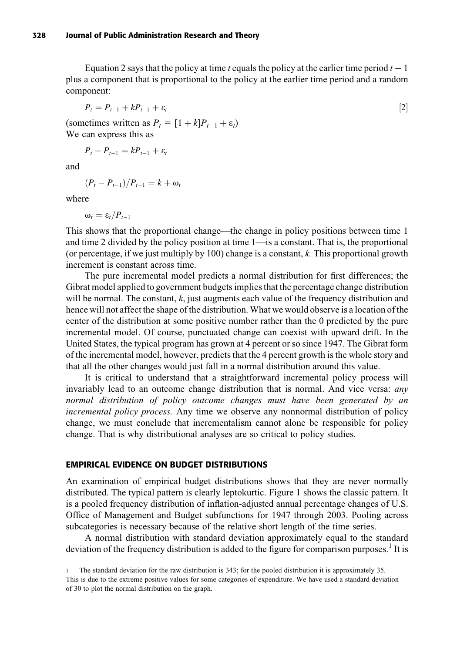Equation 2 says that the policy at time t equals the policy at the earlier time period  $t - 1$ plus a component that is proportional to the policy at the earlier time period and a random component:

$$
P_t = P_{t-1} + kP_{t-1} + \varepsilon_t \tag{2}
$$

(sometimes written as  $P_t = [1 + k]P_{t-1} + \varepsilon_t$ ) We can express this as

$$
P_t - P_{t-1} = kP_{t-1} + \varepsilon_t
$$

and

$$
(P_t-P_{t-1})/P_{t-1}=k+\omega_t
$$

where

$$
\omega_t = \epsilon_t/P_{t-1}
$$

This shows that the proportional change—the change in policy positions between time 1 and time 2 divided by the policy position at time 1—is a constant. That is, the proportional (or percentage, if we just multiply by 100) change is a constant,  $k$ . This proportional growth increment is constant across time.

The pure incremental model predicts a normal distribution for first differences; the Gibrat model applied to government budgets implies that the percentage change distribution will be normal. The constant,  $k$ , just augments each value of the frequency distribution and hence will not affect the shape of the distribution. What we would observe is a location of the center of the distribution at some positive number rather than the 0 predicted by the pure incremental model. Of course, punctuated change can coexist with upward drift. In the United States, the typical program has grown at 4 percent or so since 1947. The Gibrat form of the incremental model, however, predicts that the 4 percent growth is the whole story and that all the other changes would just fall in a normal distribution around this value.

It is critical to understand that a straightforward incremental policy process will invariably lead to an outcome change distribution that is normal. And vice versa: any normal distribution of policy outcome changes must have been generated by an incremental policy process. Any time we observe any nonnormal distribution of policy change, we must conclude that incrementalism cannot alone be responsible for policy change. That is why distributional analyses are so critical to policy studies.

# EMPIRICAL EVIDENCE ON BUDGET DISTRIBUTIONS

An examination of empirical budget distributions shows that they are never normally distributed. The typical pattern is clearly leptokurtic. Figure 1 shows the classic pattern. It is a pooled frequency distribution of inflation-adjusted annual percentage changes of U.S. Office of Management and Budget subfunctions for 1947 through 2003. Pooling across subcategories is necessary because of the relative short length of the time series.

A normal distribution with standard deviation approximately equal to the standard deviation of the frequency distribution is added to the figure for comparison purposes.<sup>1</sup> It is

<sup>1</sup> The standard deviation for the raw distribution is 343; for the pooled distribution it is approximately 35. This is due to the extreme positive values for some categories of expenditure. We have used a standard deviation of 30 to plot the normal distribution on the graph.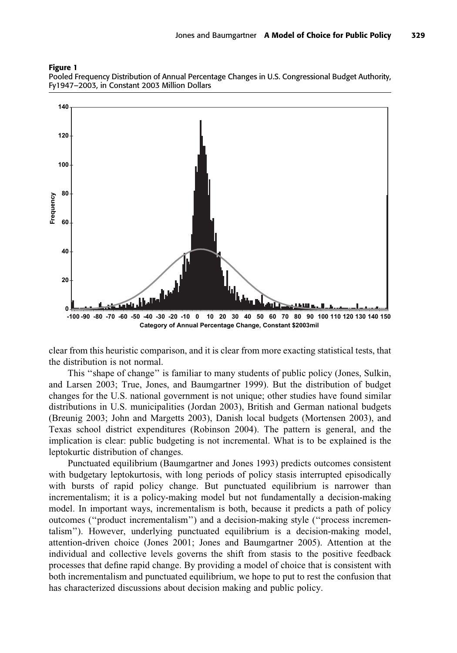#### Figure 1

Pooled Frequency Distribution of Annual Percentage Changes in U.S. Congressional Budget Authority, Fy1947–2003, in Constant 2003 Million Dollars



clear from this heuristic comparison, and it is clear from more exacting statistical tests, that the distribution is not normal.

This ''shape of change'' is familiar to many students of public policy (Jones, Sulkin, and Larsen 2003; True, Jones, and Baumgartner 1999). But the distribution of budget changes for the U.S. national government is not unique; other studies have found similar distributions in U.S. municipalities (Jordan 2003), British and German national budgets (Breunig 2003; John and Margetts 2003), Danish local budgets (Mortensen 2003), and Texas school district expenditures (Robinson 2004). The pattern is general, and the implication is clear: public budgeting is not incremental. What is to be explained is the leptokurtic distribution of changes.

Punctuated equilibrium (Baumgartner and Jones 1993) predicts outcomes consistent with budgetary leptokurtosis, with long periods of policy stasis interrupted episodically with bursts of rapid policy change. But punctuated equilibrium is narrower than incrementalism; it is a policy-making model but not fundamentally a decision-making model. In important ways, incrementalism is both, because it predicts a path of policy outcomes (''product incrementalism'') and a decision-making style (''process incrementalism''). However, underlying punctuated equilibrium is a decision-making model, attention-driven choice (Jones 2001; Jones and Baumgartner 2005). Attention at the individual and collective levels governs the shift from stasis to the positive feedback processes that define rapid change. By providing a model of choice that is consistent with both incrementalism and punctuated equilibrium, we hope to put to rest the confusion that has characterized discussions about decision making and public policy.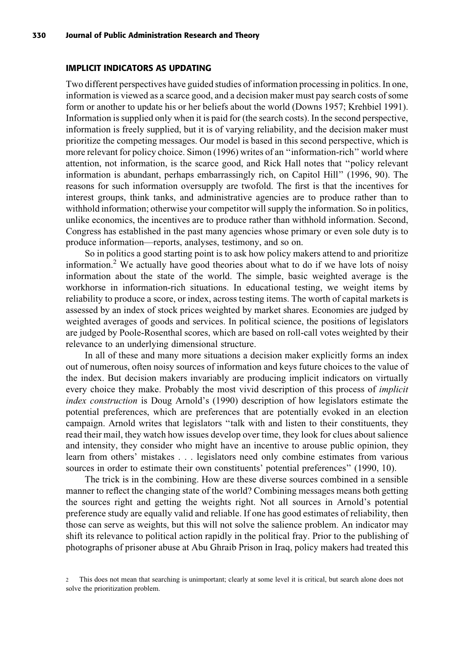## IMPLICIT INDICATORS AS UPDATING

Two different perspectives have guided studies of information processing in politics. In one, information is viewed as a scarce good, and a decision maker must pay search costs of some form or another to update his or her beliefs about the world (Downs 1957; Krehbiel 1991). Information is supplied only when it is paid for (the search costs). In the second perspective, information is freely supplied, but it is of varying reliability, and the decision maker must prioritize the competing messages. Our model is based in this second perspective, which is more relevant for policy choice. Simon (1996) writes of an ''information-rich'' world where attention, not information, is the scarce good, and Rick Hall notes that ''policy relevant information is abundant, perhaps embarrassingly rich, on Capitol Hill'' (1996, 90). The reasons for such information oversupply are twofold. The first is that the incentives for interest groups, think tanks, and administrative agencies are to produce rather than to withhold information; otherwise your competitor will supply the information. So in politics, unlike economics, the incentives are to produce rather than withhold information. Second, Congress has established in the past many agencies whose primary or even sole duty is to produce information—reports, analyses, testimony, and so on.

So in politics a good starting point is to ask how policy makers attend to and prioritize information.<sup>2</sup> We actually have good theories about what to do if we have lots of noisy information about the state of the world. The simple, basic weighted average is the workhorse in information-rich situations. In educational testing, we weight items by reliability to produce a score, or index, across testing items. The worth of capital markets is assessed by an index of stock prices weighted by market shares. Economies are judged by weighted averages of goods and services. In political science, the positions of legislators are judged by Poole-Rosenthal scores, which are based on roll-call votes weighted by their relevance to an underlying dimensional structure.

In all of these and many more situations a decision maker explicitly forms an index out of numerous, often noisy sources of information and keys future choices to the value of the index. But decision makers invariably are producing implicit indicators on virtually every choice they make. Probably the most vivid description of this process of implicit index construction is Doug Arnold's (1990) description of how legislators estimate the potential preferences, which are preferences that are potentially evoked in an election campaign. Arnold writes that legislators ''talk with and listen to their constituents, they read their mail, they watch how issues develop over time, they look for clues about salience and intensity, they consider who might have an incentive to arouse public opinion, they learn from others' mistakes . . . legislators need only combine estimates from various sources in order to estimate their own constituents' potential preferences'' (1990, 10).

The trick is in the combining. How are these diverse sources combined in a sensible manner to reflect the changing state of the world? Combining messages means both getting the sources right and getting the weights right. Not all sources in Arnold's potential preference study are equally valid and reliable. If one has good estimates of reliability, then those can serve as weights, but this will not solve the salience problem. An indicator may shift its relevance to political action rapidly in the political fray. Prior to the publishing of photographs of prisoner abuse at Abu Ghraib Prison in Iraq, policy makers had treated this

<sup>2</sup> This does not mean that searching is unimportant; clearly at some level it is critical, but search alone does not solve the prioritization problem.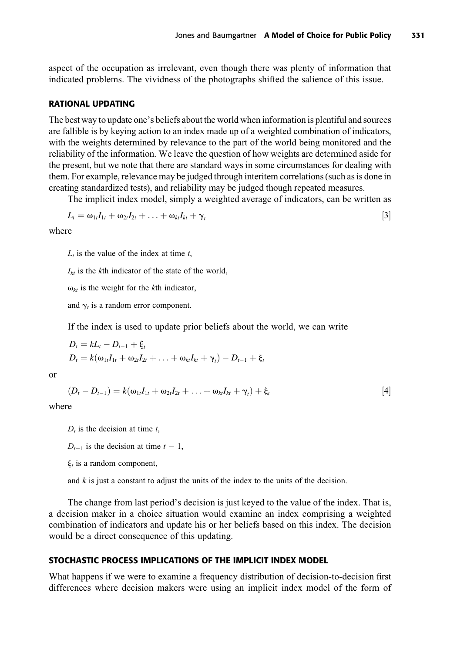aspect of the occupation as irrelevant, even though there was plenty of information that indicated problems. The vividness of the photographs shifted the salience of this issue.

# RATIONAL UPDATING

The best way to update one's beliefs about the world when information is plentiful and sources are fallible is by keying action to an index made up of a weighted combination of indicators, with the weights determined by relevance to the part of the world being monitored and the reliability of the information. We leave the question of how weights are determined aside for the present, but we note that there are standard ways in some circumstances for dealing with them. For example, relevance may be judged through interitem correlations (such as is done in creating standardized tests), and reliability may be judged though repeated measures.

The implicit index model, simply a weighted average of indicators, can be written as

$$
L_t = \omega_{1t}I_{1t} + \omega_{2t}I_{2t} + \ldots + \omega_{kt}I_{kt} + \gamma_t
$$
\n<sup>(3)</sup>

where

 $L_t$  is the value of the index at time t,

 $I_{kt}$  is the kth indicator of the state of the world,

 $\omega_{kt}$  is the weight for the kth indicator,

and  $\gamma_t$  is a random error component.

If the index is used to update prior beliefs about the world, we can write

$$
D_{t} = kL_{t} - D_{t-1} + \xi_{t}
$$
  
\n
$$
D_{t} = k(\omega_{1t}I_{1t} + \omega_{2t}I_{2t} + \ldots + \omega_{kt}I_{kt} + \gamma_{t}) - D_{t-1} + \xi_{t}
$$

or

$$
(D_t - D_{t-1}) = k(\omega_{1t}I_{1t} + \omega_{2t}I_{2t} + \ldots + \omega_{kt}I_{kt} + \gamma_t) + \xi_t
$$
\n[4]

where

 $D_t$  is the decision at time t,

 $D_{t-1}$  is the decision at time  $t - 1$ ,

 $\xi_t$  is a random component,

and  $k$  is just a constant to adjust the units of the index to the units of the decision.

The change from last period's decision is just keyed to the value of the index. That is, a decision maker in a choice situation would examine an index comprising a weighted combination of indicators and update his or her beliefs based on this index. The decision would be a direct consequence of this updating.

# STOCHASTIC PROCESS IMPLICATIONS OF THE IMPLICIT INDEX MODEL

What happens if we were to examine a frequency distribution of decision-to-decision first differences where decision makers were using an implicit index model of the form of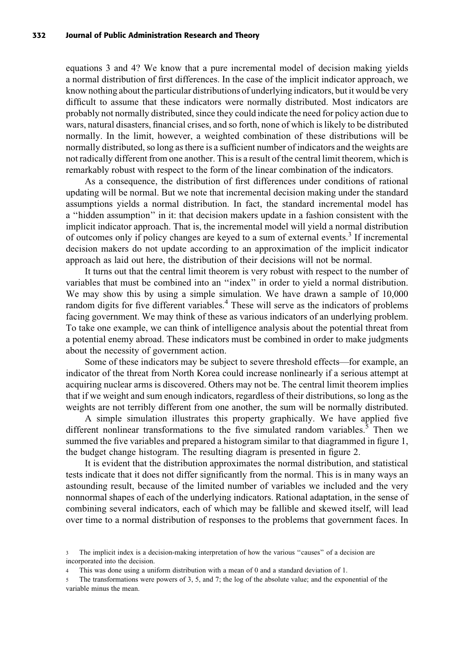equations 3 and 4? We know that a pure incremental model of decision making yields a normal distribution of first differences. In the case of the implicit indicator approach, we know nothing about the particular distributions of underlying indicators, but it would be very difficult to assume that these indicators were normally distributed. Most indicators are probably not normally distributed, since they could indicate the need for policy action due to wars, natural disasters, financial crises, and so forth, none of which is likely to be distributed normally. In the limit, however, a weighted combination of these distributions will be normally distributed, so long as there is a sufficient number of indicators and the weights are not radically different from one another. This is a result of the central limit theorem, which is remarkably robust with respect to the form of the linear combination of the indicators.

As a consequence, the distribution of first differences under conditions of rational updating will be normal. But we note that incremental decision making under the standard assumptions yields a normal distribution. In fact, the standard incremental model has a ''hidden assumption'' in it: that decision makers update in a fashion consistent with the implicit indicator approach. That is, the incremental model will yield a normal distribution of outcomes only if policy changes are keyed to a sum of external events.<sup>3</sup> If incremental decision makers do not update according to an approximation of the implicit indicator approach as laid out here, the distribution of their decisions will not be normal.

It turns out that the central limit theorem is very robust with respect to the number of variables that must be combined into an ''index'' in order to yield a normal distribution. We may show this by using a simple simulation. We have drawn a sample of 10,000 random digits for five different variables.<sup>4</sup> These will serve as the indicators of problems facing government. We may think of these as various indicators of an underlying problem. To take one example, we can think of intelligence analysis about the potential threat from a potential enemy abroad. These indicators must be combined in order to make judgments about the necessity of government action.

Some of these indicators may be subject to severe threshold effects—for example, an indicator of the threat from North Korea could increase nonlinearly if a serious attempt at acquiring nuclear arms is discovered. Others may not be. The central limit theorem implies that if we weight and sum enough indicators, regardless of their distributions, so long as the weights are not terribly different from one another, the sum will be normally distributed.

A simple simulation illustrates this property graphically. We have applied five different nonlinear transformations to the five simulated random variables.<sup>5</sup> Then we summed the five variables and prepared a histogram similar to that diagrammed in figure 1, the budget change histogram. The resulting diagram is presented in figure 2.

It is evident that the distribution approximates the normal distribution, and statistical tests indicate that it does not differ significantly from the normal. This is in many ways an astounding result, because of the limited number of variables we included and the very nonnormal shapes of each of the underlying indicators. Rational adaptation, in the sense of combining several indicators, each of which may be fallible and skewed itself, will lead over time to a normal distribution of responses to the problems that government faces. In

<sup>3</sup> The implicit index is a decision-making interpretation of how the various ''causes'' of a decision are incorporated into the decision.

<sup>4</sup> This was done using a uniform distribution with a mean of 0 and a standard deviation of 1.

<sup>5</sup> The transformations were powers of 3, 5, and 7; the log of the absolute value; and the exponential of the variable minus the mean.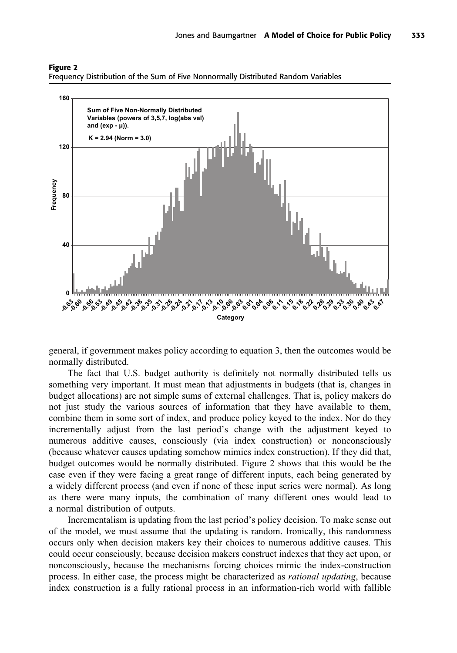



general, if government makes policy according to equation 3, then the outcomes would be normally distributed.

The fact that U.S. budget authority is definitely not normally distributed tells us something very important. It must mean that adjustments in budgets (that is, changes in budget allocations) are not simple sums of external challenges. That is, policy makers do not just study the various sources of information that they have available to them, combine them in some sort of index, and produce policy keyed to the index. Nor do they incrementally adjust from the last period's change with the adjustment keyed to numerous additive causes, consciously (via index construction) or nonconsciously (because whatever causes updating somehow mimics index construction). If they did that, budget outcomes would be normally distributed. Figure 2 shows that this would be the case even if they were facing a great range of different inputs, each being generated by a widely different process (and even if none of these input series were normal). As long as there were many inputs, the combination of many different ones would lead to a normal distribution of outputs.

Incrementalism is updating from the last period's policy decision. To make sense out of the model, we must assume that the updating is random. Ironically, this randomness occurs only when decision makers key their choices to numerous additive causes. This could occur consciously, because decision makers construct indexes that they act upon, or nonconsciously, because the mechanisms forcing choices mimic the index-construction process. In either case, the process might be characterized as *rational updating*, because index construction is a fully rational process in an information-rich world with fallible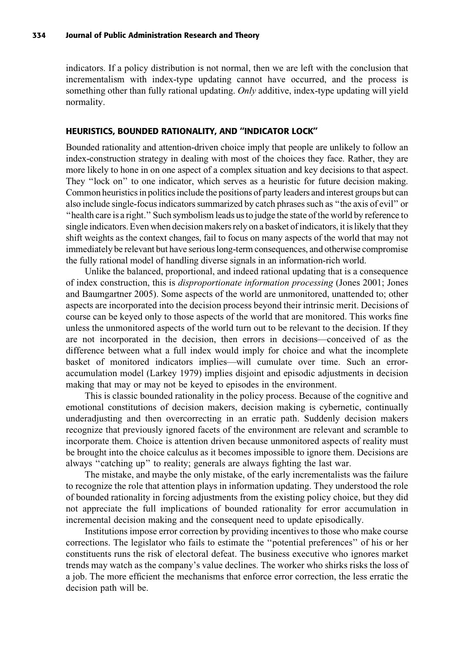indicators. If a policy distribution is not normal, then we are left with the conclusion that incrementalism with index-type updating cannot have occurred, and the process is something other than fully rational updating. Only additive, index-type updating will yield normality.

# HEURISTICS, BOUNDED RATIONALITY, AND ''INDICATOR LOCK''

Bounded rationality and attention-driven choice imply that people are unlikely to follow an index-construction strategy in dealing with most of the choices they face. Rather, they are more likely to hone in on one aspect of a complex situation and key decisions to that aspect. They ''lock on'' to one indicator, which serves as a heuristic for future decision making. Common heuristics in politics include the positions of party leaders and interest groups but can also include single-focus indicators summarized by catch phrases such as ''the axis of evil'' or ''health care is a right.'' Such symbolism leads us to judge the state of the world by reference to single indicators. Even when decision makers rely on a basket of indicators, it is likely that they shift weights as the context changes, fail to focus on many aspects of the world that may not immediately be relevant but have serious long-term consequences, and otherwise compromise the fully rational model of handling diverse signals in an information-rich world.

Unlike the balanced, proportional, and indeed rational updating that is a consequence of index construction, this is disproportionate information processing (Jones 2001; Jones and Baumgartner 2005). Some aspects of the world are unmonitored, unattended to; other aspects are incorporated into the decision process beyond their intrinsic merit. Decisions of course can be keyed only to those aspects of the world that are monitored. This works fine unless the unmonitored aspects of the world turn out to be relevant to the decision. If they are not incorporated in the decision, then errors in decisions—conceived of as the difference between what a full index would imply for choice and what the incomplete basket of monitored indicators implies—will cumulate over time. Such an erroraccumulation model (Larkey 1979) implies disjoint and episodic adjustments in decision making that may or may not be keyed to episodes in the environment.

This is classic bounded rationality in the policy process. Because of the cognitive and emotional constitutions of decision makers, decision making is cybernetic, continually underadjusting and then overcorrecting in an erratic path. Suddenly decision makers recognize that previously ignored facets of the environment are relevant and scramble to incorporate them. Choice is attention driven because unmonitored aspects of reality must be brought into the choice calculus as it becomes impossible to ignore them. Decisions are always ''catching up'' to reality; generals are always fighting the last war.

The mistake, and maybe the only mistake, of the early incrementalists was the failure to recognize the role that attention plays in information updating. They understood the role of bounded rationality in forcing adjustments from the existing policy choice, but they did not appreciate the full implications of bounded rationality for error accumulation in incremental decision making and the consequent need to update episodically.

Institutions impose error correction by providing incentives to those who make course corrections. The legislator who fails to estimate the ''potential preferences'' of his or her constituents runs the risk of electoral defeat. The business executive who ignores market trends may watch as the company's value declines. The worker who shirks risks the loss of a job. The more efficient the mechanisms that enforce error correction, the less erratic the decision path will be.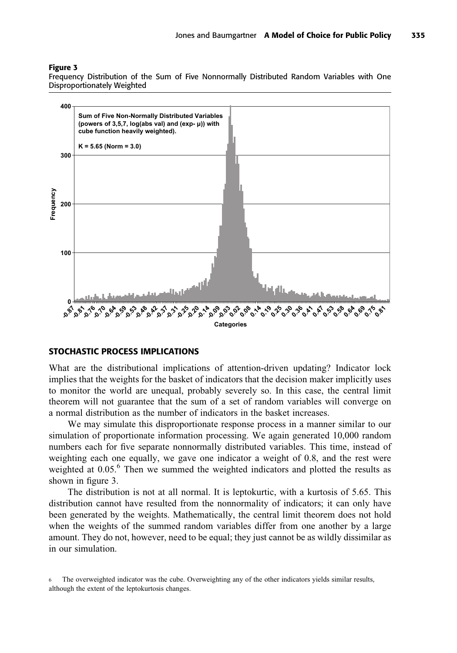#### Figure 3

Frequency Distribution of the Sum of Five Nonnormally Distributed Random Variables with One Disproportionately Weighted



## STOCHASTIC PROCESS IMPLICATIONS

What are the distributional implications of attention-driven updating? Indicator lock implies that the weights for the basket of indicators that the decision maker implicitly uses to monitor the world are unequal, probably severely so. In this case, the central limit theorem will not guarantee that the sum of a set of random variables will converge on a normal distribution as the number of indicators in the basket increases.

We may simulate this disproportionate response process in a manner similar to our simulation of proportionate information processing. We again generated 10,000 random numbers each for five separate nonnormally distributed variables. This time, instead of weighting each one equally, we gave one indicator a weight of 0.8, and the rest were weighted at  $0.05<sup>6</sup>$ . Then we summed the weighted indicators and plotted the results as shown in figure 3.

The distribution is not at all normal. It is leptokurtic, with a kurtosis of 5.65. This distribution cannot have resulted from the nonnormality of indicators; it can only have been generated by the weights. Mathematically, the central limit theorem does not hold when the weights of the summed random variables differ from one another by a large amount. They do not, however, need to be equal; they just cannot be as wildly dissimilar as in our simulation.

<sup>6</sup> The overweighted indicator was the cube. Overweighting any of the other indicators yields similar results, although the extent of the leptokurtosis changes.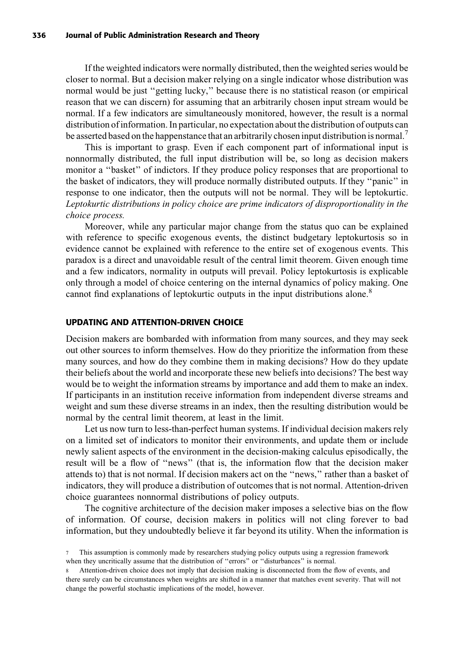If the weighted indicators were normally distributed, then the weighted series would be closer to normal. But a decision maker relying on a single indicator whose distribution was normal would be just ''getting lucky,'' because there is no statistical reason (or empirical reason that we can discern) for assuming that an arbitrarily chosen input stream would be normal. If a few indicators are simultaneously monitored, however, the result is a normal distribution of information. In particular, no expectation about the distribution of outputs can be asserted based on the happenstance that an arbitrarily chosen input distribution is normal.<sup>7</sup>

This is important to grasp. Even if each component part of informational input is nonnormally distributed, the full input distribution will be, so long as decision makers monitor a ''basket'' of indictors. If they produce policy responses that are proportional to the basket of indicators, they will produce normally distributed outputs. If they ''panic'' in response to one indicator, then the outputs will not be normal. They will be leptokurtic. Leptokurtic distributions in policy choice are prime indicators of disproportionality in the choice process.

Moreover, while any particular major change from the status quo can be explained with reference to specific exogenous events, the distinct budgetary leptokurtosis so in evidence cannot be explained with reference to the entire set of exogenous events. This paradox is a direct and unavoidable result of the central limit theorem. Given enough time and a few indicators, normality in outputs will prevail. Policy leptokurtosis is explicable only through a model of choice centering on the internal dynamics of policy making. One cannot find explanations of leptokurtic outputs in the input distributions alone.<sup>8</sup>

#### UPDATING AND ATTENTION-DRIVEN CHOICE

Decision makers are bombarded with information from many sources, and they may seek out other sources to inform themselves. How do they prioritize the information from these many sources, and how do they combine them in making decisions? How do they update their beliefs about the world and incorporate these new beliefs into decisions? The best way would be to weight the information streams by importance and add them to make an index. If participants in an institution receive information from independent diverse streams and weight and sum these diverse streams in an index, then the resulting distribution would be normal by the central limit theorem, at least in the limit.

Let us now turn to less-than-perfect human systems. If individual decision makers rely on a limited set of indicators to monitor their environments, and update them or include newly salient aspects of the environment in the decision-making calculus episodically, the result will be a flow of ''news'' (that is, the information flow that the decision maker attends to) that is not normal. If decision makers act on the ''news,'' rather than a basket of indicators, they will produce a distribution of outcomes that is not normal. Attention-driven choice guarantees nonnormal distributions of policy outputs.

The cognitive architecture of the decision maker imposes a selective bias on the flow of information. Of course, decision makers in politics will not cling forever to bad information, but they undoubtedly believe it far beyond its utility. When the information is

<sup>7</sup> This assumption is commonly made by researchers studying policy outputs using a regression framework when they uncritically assume that the distribution of "errors" or "disturbances" is normal.

<sup>8</sup> Attention-driven choice does not imply that decision making is disconnected from the flow of events, and there surely can be circumstances when weights are shifted in a manner that matches event severity. That will not change the powerful stochastic implications of the model, however.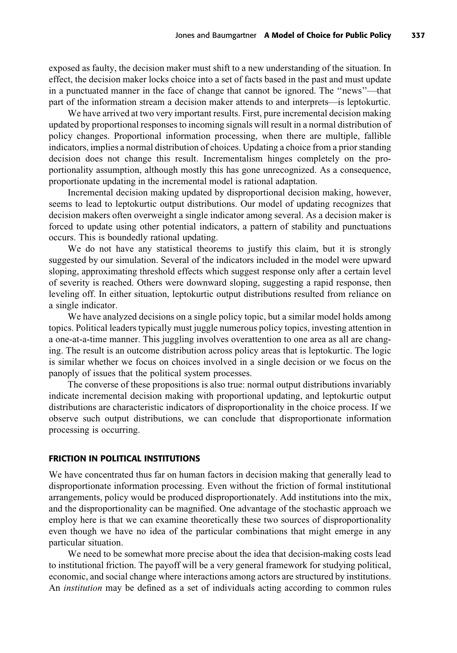exposed as faulty, the decision maker must shift to a new understanding of the situation. In effect, the decision maker locks choice into a set of facts based in the past and must update in a punctuated manner in the face of change that cannot be ignored. The ''news''—that part of the information stream a decision maker attends to and interprets—is leptokurtic.

We have arrived at two very important results. First, pure incremental decision making updated by proportional responses to incoming signals will result in a normal distribution of policy changes. Proportional information processing, when there are multiple, fallible indicators, implies a normal distribution of choices. Updating a choice from a prior standing decision does not change this result. Incrementalism hinges completely on the proportionality assumption, although mostly this has gone unrecognized. As a consequence, proportionate updating in the incremental model is rational adaptation.

Incremental decision making updated by disproportional decision making, however, seems to lead to leptokurtic output distributions. Our model of updating recognizes that decision makers often overweight a single indicator among several. As a decision maker is forced to update using other potential indicators, a pattern of stability and punctuations occurs. This is boundedly rational updating.

We do not have any statistical theorems to justify this claim, but it is strongly suggested by our simulation. Several of the indicators included in the model were upward sloping, approximating threshold effects which suggest response only after a certain level of severity is reached. Others were downward sloping, suggesting a rapid response, then leveling off. In either situation, leptokurtic output distributions resulted from reliance on a single indicator.

We have analyzed decisions on a single policy topic, but a similar model holds among topics. Political leaders typically must juggle numerous policy topics, investing attention in a one-at-a-time manner. This juggling involves overattention to one area as all are changing. The result is an outcome distribution across policy areas that is leptokurtic. The logic is similar whether we focus on choices involved in a single decision or we focus on the panoply of issues that the political system processes.

The converse of these propositions is also true: normal output distributions invariably indicate incremental decision making with proportional updating, and leptokurtic output distributions are characteristic indicators of disproportionality in the choice process. If we observe such output distributions, we can conclude that disproportionate information processing is occurring.

# FRICTION IN POLITICAL INSTITUTIONS

We have concentrated thus far on human factors in decision making that generally lead to disproportionate information processing. Even without the friction of formal institutional arrangements, policy would be produced disproportionately. Add institutions into the mix, and the disproportionality can be magnified. One advantage of the stochastic approach we employ here is that we can examine theoretically these two sources of disproportionality even though we have no idea of the particular combinations that might emerge in any particular situation.

We need to be somewhat more precise about the idea that decision-making costs lead to institutional friction. The payoff will be a very general framework for studying political, economic, and social change where interactions among actors are structured by institutions. An institution may be defined as a set of individuals acting according to common rules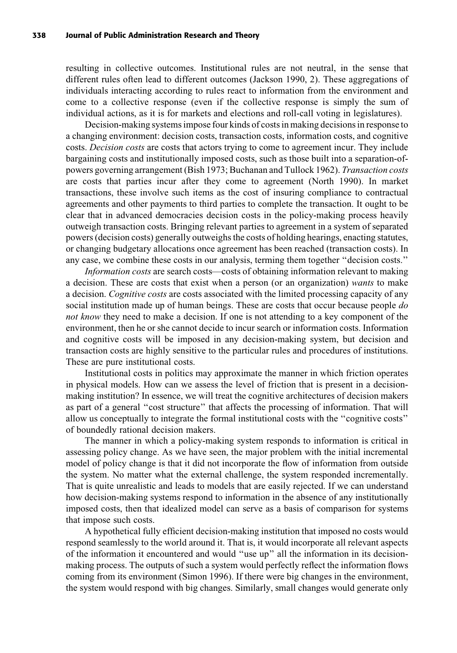resulting in collective outcomes. Institutional rules are not neutral, in the sense that different rules often lead to different outcomes (Jackson 1990, 2). These aggregations of individuals interacting according to rules react to information from the environment and come to a collective response (even if the collective response is simply the sum of individual actions, as it is for markets and elections and roll-call voting in legislatures).

Decision-making systems impose four kinds of costs in making decisions in response to a changing environment: decision costs, transaction costs, information costs, and cognitive costs. *Decision costs* are costs that actors trying to come to agreement incur. They include bargaining costs and institutionally imposed costs, such as those built into a separation-ofpowers governing arrangement (Bish 1973; Buchanan and Tullock 1962). Transaction costs are costs that parties incur after they come to agreement (North 1990). In market transactions, these involve such items as the cost of insuring compliance to contractual agreements and other payments to third parties to complete the transaction. It ought to be clear that in advanced democracies decision costs in the policy-making process heavily outweigh transaction costs. Bringing relevant parties to agreement in a system of separated powers (decision costs) generally outweighs the costs of holding hearings, enacting statutes, or changing budgetary allocations once agreement has been reached (transaction costs). In any case, we combine these costs in our analysis, terming them together ''decision costs.''

Information costs are search costs—costs of obtaining information relevant to making a decision. These are costs that exist when a person (or an organization) wants to make a decision. Cognitive costs are costs associated with the limited processing capacity of any social institution made up of human beings. These are costs that occur because people do not know they need to make a decision. If one is not attending to a key component of the environment, then he or she cannot decide to incur search or information costs. Information and cognitive costs will be imposed in any decision-making system, but decision and transaction costs are highly sensitive to the particular rules and procedures of institutions. These are pure institutional costs.

Institutional costs in politics may approximate the manner in which friction operates in physical models. How can we assess the level of friction that is present in a decisionmaking institution? In essence, we will treat the cognitive architectures of decision makers as part of a general ''cost structure'' that affects the processing of information. That will allow us conceptually to integrate the formal institutional costs with the ''cognitive costs'' of boundedly rational decision makers.

The manner in which a policy-making system responds to information is critical in assessing policy change. As we have seen, the major problem with the initial incremental model of policy change is that it did not incorporate the flow of information from outside the system. No matter what the external challenge, the system responded incrementally. That is quite unrealistic and leads to models that are easily rejected. If we can understand how decision-making systems respond to information in the absence of any institutionally imposed costs, then that idealized model can serve as a basis of comparison for systems that impose such costs.

A hypothetical fully efficient decision-making institution that imposed no costs would respond seamlessly to the world around it. That is, it would incorporate all relevant aspects of the information it encountered and would ''use up'' all the information in its decisionmaking process. The outputs of such a system would perfectly reflect the information flows coming from its environment (Simon 1996). If there were big changes in the environment, the system would respond with big changes. Similarly, small changes would generate only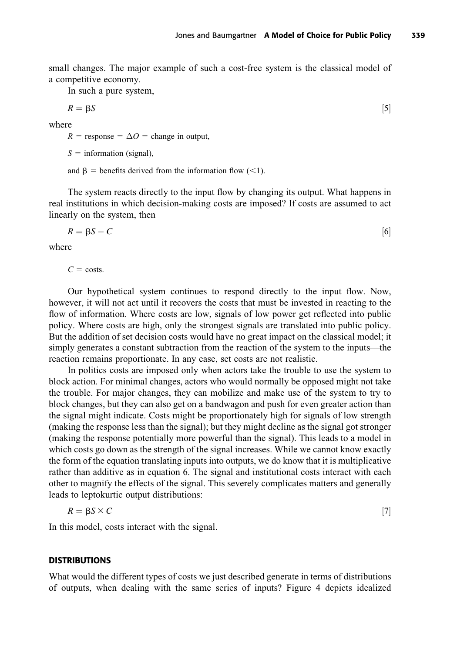small changes. The major example of such a cost-free system is the classical model of a competitive economy.

In such a pure system,

$$
R = \beta S \tag{5}
$$

where

 $R =$  response =  $\Delta O =$  change in output,

 $S =$  information (signal),

and  $\beta$  = benefits derived from the information flow (<1).

The system reacts directly to the input flow by changing its output. What happens in real institutions in which decision-making costs are imposed? If costs are assumed to act linearly on the system, then

$$
R = \beta S - C \tag{6}
$$

where

 $C = \text{costs}.$ 

Our hypothetical system continues to respond directly to the input flow. Now, however, it will not act until it recovers the costs that must be invested in reacting to the flow of information. Where costs are low, signals of low power get reflected into public policy. Where costs are high, only the strongest signals are translated into public policy. But the addition of set decision costs would have no great impact on the classical model; it simply generates a constant subtraction from the reaction of the system to the inputs—the reaction remains proportionate. In any case, set costs are not realistic.

In politics costs are imposed only when actors take the trouble to use the system to block action. For minimal changes, actors who would normally be opposed might not take the trouble. For major changes, they can mobilize and make use of the system to try to block changes, but they can also get on a bandwagon and push for even greater action than the signal might indicate. Costs might be proportionately high for signals of low strength (making the response less than the signal); but they might decline as the signal got stronger (making the response potentially more powerful than the signal). This leads to a model in which costs go down as the strength of the signal increases. While we cannot know exactly the form of the equation translating inputs into outputs, we do know that it is multiplicative rather than additive as in equation 6. The signal and institutional costs interact with each other to magnify the effects of the signal. This severely complicates matters and generally leads to leptokurtic output distributions:

$$
R = \beta S \times C \tag{7}
$$

In this model, costs interact with the signal.

# DISTRIBUTIONS

What would the different types of costs we just described generate in terms of distributions of outputs, when dealing with the same series of inputs? Figure 4 depicts idealized

 $\lceil 5 \rceil$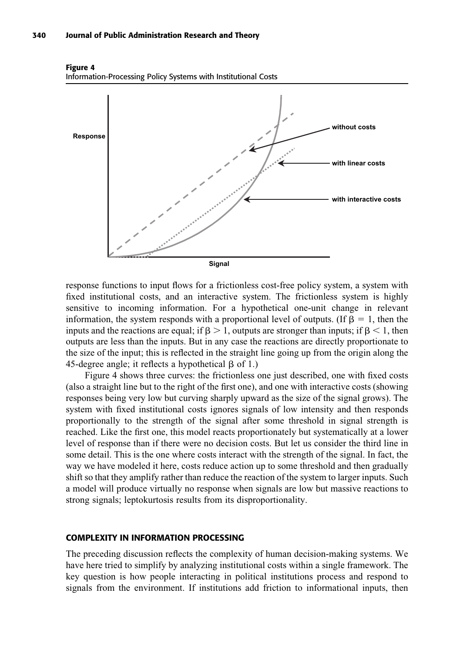



response functions to input flows for a frictionless cost-free policy system, a system with fixed institutional costs, and an interactive system. The frictionless system is highly sensitive to incoming information. For a hypothetical one-unit change in relevant information, the system responds with a proportional level of outputs. (If  $\beta = 1$ , then the inputs and the reactions are equal; if  $\beta > 1$ , outputs are stronger than inputs; if  $\beta < 1$ , then outputs are less than the inputs. But in any case the reactions are directly proportionate to the size of the input; this is reflected in the straight line going up from the origin along the 45-degree angle; it reflects a hypothetical  $\beta$  of 1.)

Figure 4 shows three curves: the frictionless one just described, one with fixed costs (also a straight line but to the right of the first one), and one with interactive costs (showing responses being very low but curving sharply upward as the size of the signal grows). The system with fixed institutional costs ignores signals of low intensity and then responds proportionally to the strength of the signal after some threshold in signal strength is reached. Like the first one, this model reacts proportionately but systematically at a lower level of response than if there were no decision costs. But let us consider the third line in some detail. This is the one where costs interact with the strength of the signal. In fact, the way we have modeled it here, costs reduce action up to some threshold and then gradually shift so that they amplify rather than reduce the reaction of the system to larger inputs. Such a model will produce virtually no response when signals are low but massive reactions to strong signals; leptokurtosis results from its disproportionality.

# COMPLEXITY IN INFORMATION PROCESSING

The preceding discussion reflects the complexity of human decision-making systems. We have here tried to simplify by analyzing institutional costs within a single framework. The key question is how people interacting in political institutions process and respond to signals from the environment. If institutions add friction to informational inputs, then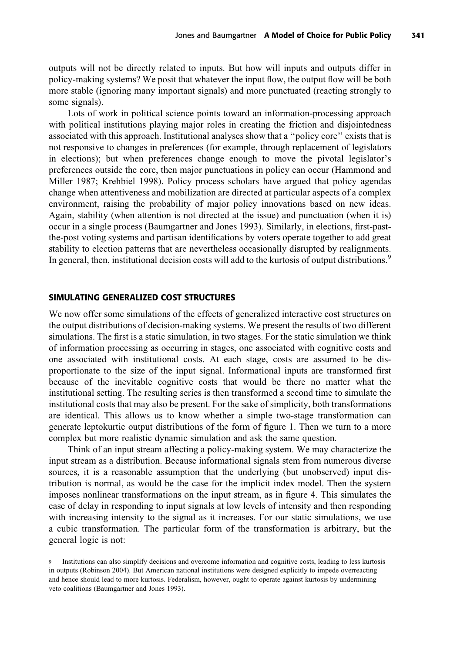outputs will not be directly related to inputs. But how will inputs and outputs differ in policy-making systems? We posit that whatever the input flow, the output flow will be both more stable (ignoring many important signals) and more punctuated (reacting strongly to some signals).

Lots of work in political science points toward an information-processing approach with political institutions playing major roles in creating the friction and disjointedness associated with this approach. Institutional analyses show that a ''policy core'' exists that is not responsive to changes in preferences (for example, through replacement of legislators in elections); but when preferences change enough to move the pivotal legislator's preferences outside the core, then major punctuations in policy can occur (Hammond and Miller 1987; Krehbiel 1998). Policy process scholars have argued that policy agendas change when attentiveness and mobilization are directed at particular aspects of a complex environment, raising the probability of major policy innovations based on new ideas. Again, stability (when attention is not directed at the issue) and punctuation (when it is) occur in a single process (Baumgartner and Jones 1993). Similarly, in elections, first-pastthe-post voting systems and partisan identifications by voters operate together to add great stability to election patterns that are nevertheless occasionally disrupted by realignments. In general, then, institutional decision costs will add to the kurtosis of output distributions.<sup>9</sup>

## SIMULATING GENERALIZED COST STRUCTURES

We now offer some simulations of the effects of generalized interactive cost structures on the output distributions of decision-making systems. We present the results of two different simulations. The first is a static simulation, in two stages. For the static simulation we think of information processing as occurring in stages, one associated with cognitive costs and one associated with institutional costs. At each stage, costs are assumed to be disproportionate to the size of the input signal. Informational inputs are transformed first because of the inevitable cognitive costs that would be there no matter what the institutional setting. The resulting series is then transformed a second time to simulate the institutional costs that may also be present. For the sake of simplicity, both transformations are identical. This allows us to know whether a simple two-stage transformation can generate leptokurtic output distributions of the form of figure 1. Then we turn to a more complex but more realistic dynamic simulation and ask the same question.

Think of an input stream affecting a policy-making system. We may characterize the input stream as a distribution. Because informational signals stem from numerous diverse sources, it is a reasonable assumption that the underlying (but unobserved) input distribution is normal, as would be the case for the implicit index model. Then the system imposes nonlinear transformations on the input stream, as in figure 4. This simulates the case of delay in responding to input signals at low levels of intensity and then responding with increasing intensity to the signal as it increases. For our static simulations, we use a cubic transformation. The particular form of the transformation is arbitrary, but the general logic is not:

<sup>9</sup> Institutions can also simplify decisions and overcome information and cognitive costs, leading to less kurtosis in outputs (Robinson 2004). But American national institutions were designed explicitly to impede overreacting and hence should lead to more kurtosis. Federalism, however, ought to operate against kurtosis by undermining veto coalitions (Baumgartner and Jones 1993).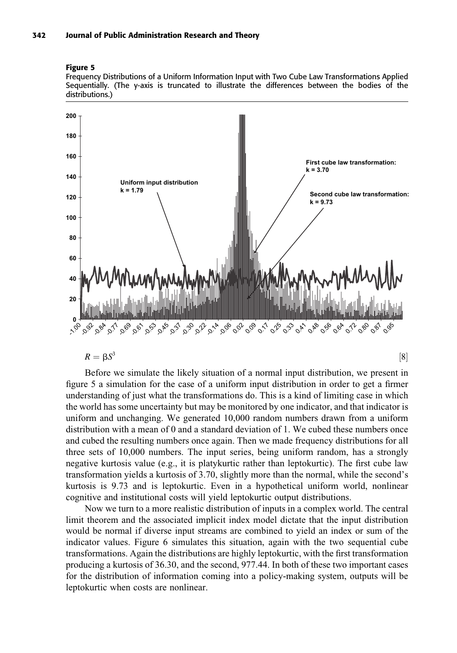#### Figure 5

Frequency Distributions of a Uniform Information Input with Two Cube Law Transformations Applied Sequentially. (The y-axis is truncated to illustrate the differences between the bodies of the distributions.)



Before we simulate the likely situation of a normal input distribution, we present in figure 5 a simulation for the case of a uniform input distribution in order to get a firmer understanding of just what the transformations do. This is a kind of limiting case in which the world has some uncertainty but may be monitored by one indicator, and that indicator is uniform and unchanging. We generated 10,000 random numbers drawn from a uniform distribution with a mean of 0 and a standard deviation of 1. We cubed these numbers once and cubed the resulting numbers once again. Then we made frequency distributions for all three sets of 10,000 numbers. The input series, being uniform random, has a strongly negative kurtosis value (e.g., it is platykurtic rather than leptokurtic). The first cube law transformation yields a kurtosis of 3.70, slightly more than the normal, while the second's kurtosis is 9.73 and is leptokurtic. Even in a hypothetical uniform world, nonlinear cognitive and institutional costs will yield leptokurtic output distributions.

Now we turn to a more realistic distribution of inputs in a complex world. The central limit theorem and the associated implicit index model dictate that the input distribution would be normal if diverse input streams are combined to yield an index or sum of the indicator values. Figure 6 simulates this situation, again with the two sequential cube transformations. Again the distributions are highly leptokurtic, with the first transformation producing a kurtosis of 36.30, and the second, 977.44. In both of these two important cases for the distribution of information coming into a policy-making system, outputs will be leptokurtic when costs are nonlinear.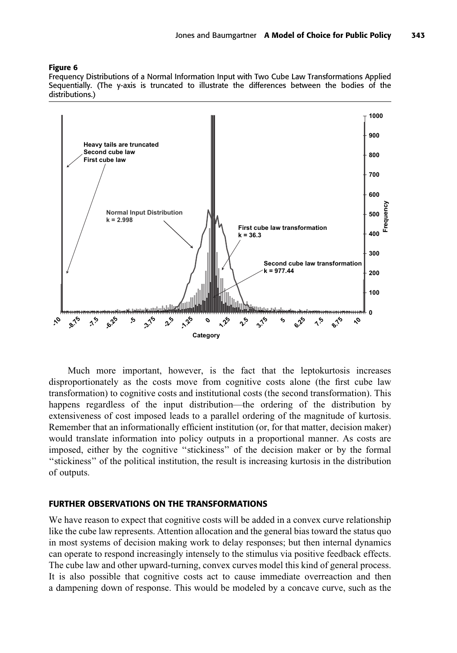#### Figure 6

Frequency Distributions of a Normal Information Input with Two Cube Law Transformations Applied Sequentially. (The y-axis is truncated to illustrate the differences between the bodies of the distributions.)



Much more important, however, is the fact that the leptokurtosis increases disproportionately as the costs move from cognitive costs alone (the first cube law transformation) to cognitive costs and institutional costs (the second transformation). This happens regardless of the input distribution—the ordering of the distribution by extensiveness of cost imposed leads to a parallel ordering of the magnitude of kurtosis. Remember that an informationally efficient institution (or, for that matter, decision maker) would translate information into policy outputs in a proportional manner. As costs are imposed, either by the cognitive ''stickiness'' of the decision maker or by the formal ''stickiness'' of the political institution, the result is increasing kurtosis in the distribution of outputs.

## FURTHER OBSERVATIONS ON THE TRANSFORMATIONS

We have reason to expect that cognitive costs will be added in a convex curve relationship like the cube law represents. Attention allocation and the general bias toward the status quo in most systems of decision making work to delay responses; but then internal dynamics can operate to respond increasingly intensely to the stimulus via positive feedback effects. The cube law and other upward-turning, convex curves model this kind of general process. It is also possible that cognitive costs act to cause immediate overreaction and then a dampening down of response. This would be modeled by a concave curve, such as the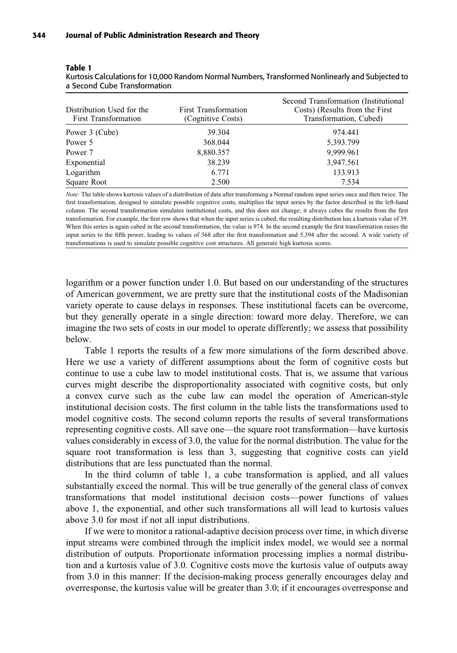| Distribution Used for the<br><b>First Transformation</b> | <b>First Transformation</b><br>(Cognitive Costs) | Second Transformation (Institutional<br>Costs) (Results from the First<br>Transformation, Cubed) |
|----------------------------------------------------------|--------------------------------------------------|--------------------------------------------------------------------------------------------------|
| Power 3 (Cube)                                           | 39.304                                           | 974.441                                                                                          |
| Power 5                                                  | 368.044                                          | 5,393.799                                                                                        |
| Power 7                                                  | 8,880.357                                        | 9,999.961                                                                                        |
| Exponential                                              | 38.239                                           | 3,947.561                                                                                        |
| Logarithm                                                | 6.771                                            | 133.913                                                                                          |
| Square Root                                              | 2.500                                            | 7.534                                                                                            |

Kurtosis Calculations for 10,000 Random Normal Numbers, Transformed Nonlinearly and Subjected to a Second Cube Transformation

Note: The table shows kurtosis values of a distribution of data after transforming a Normal random input series once and then twice. The first transformation, designed to simulate possible cognitive costs, multiplies the input series by the factor described in the left-hand column. The second transformation simulates institutional costs, and this does not change; it always cubes the results from the first transformation. For example, the first row shows that when the input series is cubed, the resulting distribution has a kurtosis value of 39. When this series is again cubed in the second transformation, the value is 974. In the second example the first transformation raises the input series to the fifth power, leading to values of 368 after the first transformation and 5,394 after the second. A wide variety of transformations is used to simulate possible cognitive cost structures. All generate high kurtosis scores.

logarithm or a power function under 1.0. But based on our understanding of the structures of American government, we are pretty sure that the institutional costs of the Madisonian variety operate to cause delays in responses. These institutional facets can be overcome, but they generally operate in a single direction: toward more delay. Therefore, we can imagine the two sets of costs in our model to operate differently; we assess that possibility below.

Table 1 reports the results of a few more simulations of the form described above. Here we use a variety of different assumptions about the form of cognitive costs but continue to use a cube law to model institutional costs. That is, we assume that various curves might describe the disproportionality associated with cognitive costs, but only a convex curve such as the cube law can model the operation of American-style institutional decision costs. The first column in the table lists the transformations used to model cognitive costs. The second column reports the results of several transformations representing cognitive costs. All save one—the square root transformation—have kurtosis values considerably in excess of 3.0, the value for the normal distribution. The value for the square root transformation is less than 3, suggesting that cognitive costs can yield distributions that are less punctuated than the normal.

In the third column of table 1, a cube transformation is applied, and all values substantially exceed the normal. This will be true generally of the general class of convex transformations that model institutional decision costs—power functions of values above 1, the exponential, and other such transformations all will lead to kurtosis values above 3.0 for most if not all input distributions.

If we were to monitor a rational-adaptive decision process over time, in which diverse input streams were combined through the implicit index model, we would see a normal distribution of outputs. Proportionate information processing implies a normal distribution and a kurtosis value of 3.0. Cognitive costs move the kurtosis value of outputs away from 3.0 in this manner: If the decision-making process generally encourages delay and overresponse, the kurtosis value will be greater than 3.0; if it encourages overresponse and

#### Table 1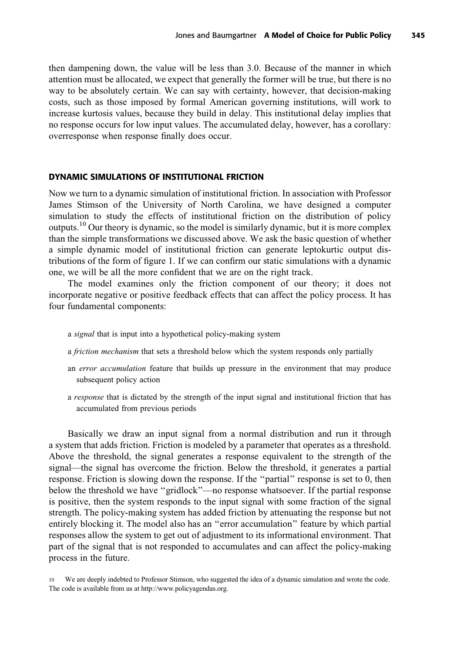then dampening down, the value will be less than 3.0. Because of the manner in which attention must be allocated, we expect that generally the former will be true, but there is no way to be absolutely certain. We can say with certainty, however, that decision-making costs, such as those imposed by formal American governing institutions, will work to increase kurtosis values, because they build in delay. This institutional delay implies that no response occurs for low input values. The accumulated delay, however, has a corollary: overresponse when response finally does occur.

# DYNAMIC SIMULATIONS OF INSTITUTIONAL FRICTION

Now we turn to a dynamic simulation of institutional friction. In association with Professor James Stimson of the University of North Carolina, we have designed a computer simulation to study the effects of institutional friction on the distribution of policy outputs.<sup>10</sup> Our theory is dynamic, so the model is similarly dynamic, but it is more complex than the simple transformations we discussed above. We ask the basic question of whether a simple dynamic model of institutional friction can generate leptokurtic output distributions of the form of figure 1. If we can confirm our static simulations with a dynamic one, we will be all the more confident that we are on the right track.

The model examines only the friction component of our theory; it does not incorporate negative or positive feedback effects that can affect the policy process. It has four fundamental components:

- a signal that is input into a hypothetical policy-making system
- a friction mechanism that sets a threshold below which the system responds only partially
- an error accumulation feature that builds up pressure in the environment that may produce subsequent policy action
- a response that is dictated by the strength of the input signal and institutional friction that has accumulated from previous periods

Basically we draw an input signal from a normal distribution and run it through a system that adds friction. Friction is modeled by a parameter that operates as a threshold. Above the threshold, the signal generates a response equivalent to the strength of the signal—the signal has overcome the friction. Below the threshold, it generates a partial response. Friction is slowing down the response. If the ''partial'' response is set to 0, then below the threshold we have ''gridlock''—no response whatsoever. If the partial response is positive, then the system responds to the input signal with some fraction of the signal strength. The policy-making system has added friction by attenuating the response but not entirely blocking it. The model also has an ''error accumulation'' feature by which partial responses allow the system to get out of adjustment to its informational environment. That part of the signal that is not responded to accumulates and can affect the policy-making process in the future.

<sup>10</sup> We are deeply indebted to Professor Stimson, who suggested the idea of a dynamic simulation and wrote the code. The code is available from us at [http://www.policyagendas.org.](http://www.policyagendas.org)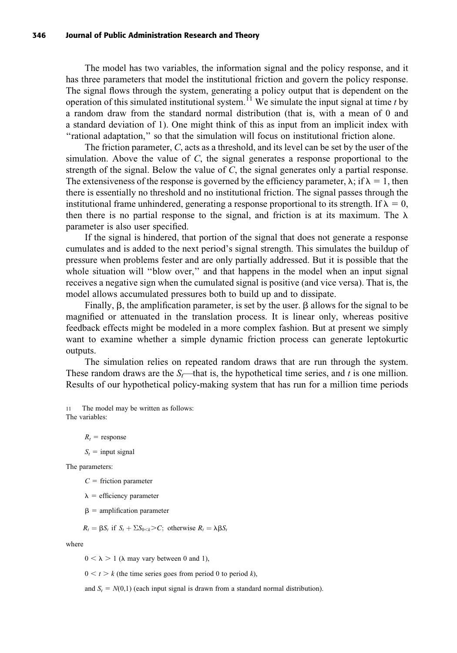The model has two variables, the information signal and the policy response, and it has three parameters that model the institutional friction and govern the policy response. The signal flows through the system, generating a policy output that is dependent on the operation of this simulated institutional system.<sup>11</sup> We simulate the input signal at time t by a random draw from the standard normal distribution (that is, with a mean of 0 and a standard deviation of 1). One might think of this as input from an implicit index with ''rational adaptation,'' so that the simulation will focus on institutional friction alone.

The friction parameter, C, acts as a threshold, and its level can be set by the user of the simulation. Above the value of  $C$ , the signal generates a response proportional to the strength of the signal. Below the value of C, the signal generates only a partial response. The extensiveness of the response is governed by the efficiency parameter,  $\lambda$ ; if  $\lambda = 1$ , then there is essentially no threshold and no institutional friction. The signal passes through the institutional frame unhindered, generating a response proportional to its strength. If  $\lambda = 0$ , then there is no partial response to the signal, and friction is at its maximum. The  $\lambda$ parameter is also user specified.

If the signal is hindered, that portion of the signal that does not generate a response cumulates and is added to the next period's signal strength. This simulates the buildup of pressure when problems fester and are only partially addressed. But it is possible that the whole situation will "blow over," and that happens in the model when an input signal receives a negative sign when the cumulated signal is positive (and vice versa). That is, the model allows accumulated pressures both to build up and to dissipate.

Finally,  $\beta$ , the amplification parameter, is set by the user.  $\beta$  allows for the signal to be magnified or attenuated in the translation process. It is linear only, whereas positive feedback effects might be modeled in a more complex fashion. But at present we simply want to examine whether a simple dynamic friction process can generate leptokurtic outputs.

The simulation relies on repeated random draws that are run through the system. These random draws are the  $S_t$ —that is, the hypothetical time series, and t is one million. Results of our hypothetical policy-making system that has run for a million time periods

11 The model may be written as follows: The variables:

 $R_t$  = response

 $S_t$  = input signal

The parameters:

- $C =$  friction parameter
- $\lambda$  = efficiency parameter
- $\beta$  = amplification parameter

 $R_t = \beta S_t$  if  $S_t + \sum S_{0 \le k} > C$ ; otherwise  $R_t = \lambda \beta S_t$ 

where

 $0 < \lambda > 1$  ( $\lambda$  may vary between 0 and 1),

 $0 \lt t > k$  (the time series goes from period 0 to period k),

and  $S_t = N(0,1)$  (each input signal is drawn from a standard normal distribution).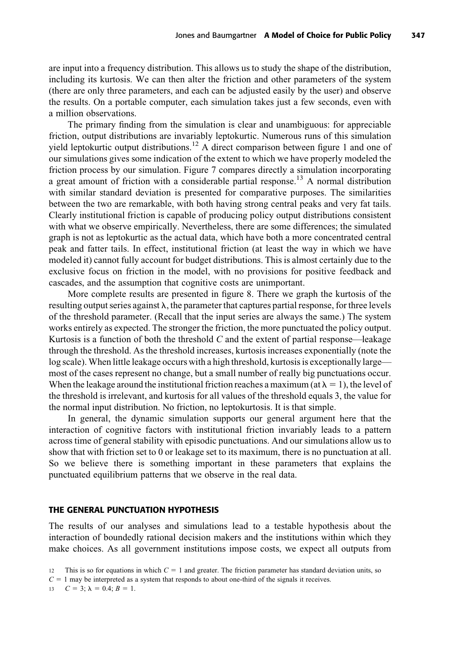are input into a frequency distribution. This allows us to study the shape of the distribution, including its kurtosis. We can then alter the friction and other parameters of the system (there are only three parameters, and each can be adjusted easily by the user) and observe the results. On a portable computer, each simulation takes just a few seconds, even with a million observations.

The primary finding from the simulation is clear and unambiguous: for appreciable friction, output distributions are invariably leptokurtic. Numerous runs of this simulation yield leptokurtic output distributions.<sup>12</sup> A direct comparison between figure 1 and one of our simulations gives some indication of the extent to which we have properly modeled the friction process by our simulation. Figure 7 compares directly a simulation incorporating a great amount of friction with a considerable partial response.<sup>13</sup> A normal distribution with similar standard deviation is presented for comparative purposes. The similarities between the two are remarkable, with both having strong central peaks and very fat tails. Clearly institutional friction is capable of producing policy output distributions consistent with what we observe empirically. Nevertheless, there are some differences; the simulated graph is not as leptokurtic as the actual data, which have both a more concentrated central peak and fatter tails. In effect, institutional friction (at least the way in which we have modeled it) cannot fully account for budget distributions. This is almost certainly due to the exclusive focus on friction in the model, with no provisions for positive feedback and cascades, and the assumption that cognitive costs are unimportant.

More complete results are presented in figure 8. There we graph the kurtosis of the resulting output series against  $\lambda$ , the parameter that captures partial response, for three levels of the threshold parameter. (Recall that the input series are always the same.) The system works entirely as expected. The stronger the friction, the more punctuated the policy output. Kurtosis is a function of both the threshold  $C$  and the extent of partial response—leakage through the threshold. As the threshold increases, kurtosis increases exponentially (note the log scale). When little leakage occurs with a high threshold, kurtosis is exceptionally large most of the cases represent no change, but a small number of really big punctuations occur. When the leakage around the institutional friction reaches a maximum (at  $\lambda = 1$ ), the level of the threshold is irrelevant, and kurtosis for all values of the threshold equals 3, the value for the normal input distribution. No friction, no leptokurtosis. It is that simple.

In general, the dynamic simulation supports our general argument here that the interaction of cognitive factors with institutional friction invariably leads to a pattern across time of general stability with episodic punctuations. And our simulations allow us to show that with friction set to 0 or leakage set to its maximum, there is no punctuation at all. So we believe there is something important in these parameters that explains the punctuated equilibrium patterns that we observe in the real data.

# THE GENERAL PUNCTUATION HYPOTHESIS

The results of our analyses and simulations lead to a testable hypothesis about the interaction of boundedly rational decision makers and the institutions within which they make choices. As all government institutions impose costs, we expect all outputs from

<sup>12</sup> This is so for equations in which  $C = 1$  and greater. The friction parameter has standard deviation units, so

 $C = 1$  may be interpreted as a system that responds to about one-third of the signals it receives.

<sup>13</sup>  $C = 3$ ;  $\lambda = 0.4$ ;  $B = 1$ .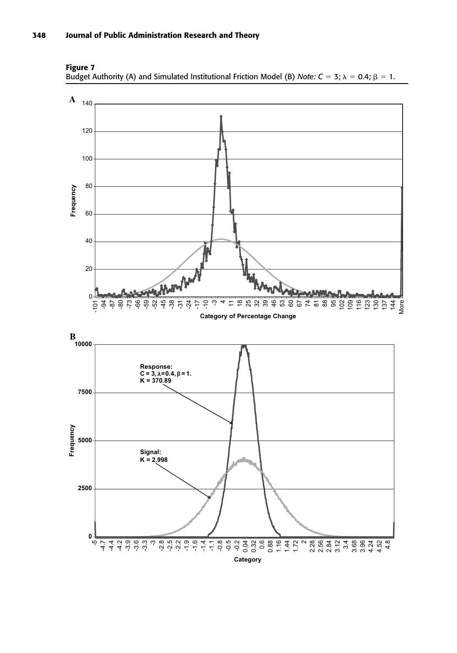

Figure 7

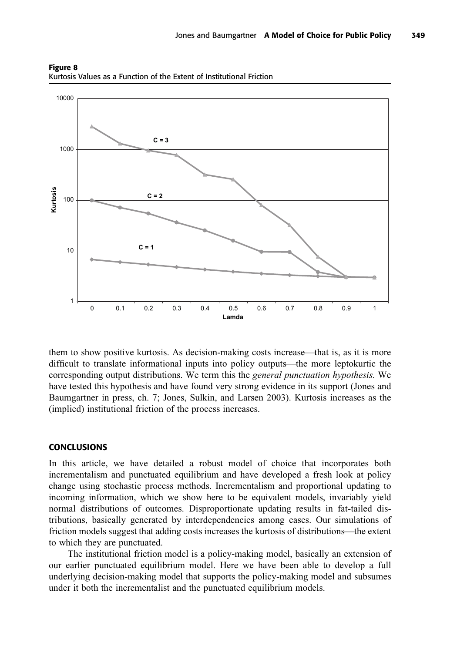

Figure 8 Kurtosis Values as a Function of the Extent of Institutional Friction

them to show positive kurtosis. As decision-making costs increase—that is, as it is more difficult to translate informational inputs into policy outputs—the more leptokurtic the corresponding output distributions. We term this the *general punctuation hypothesis*. We have tested this hypothesis and have found very strong evidence in its support (Jones and Baumgartner in press, ch. 7; Jones, Sulkin, and Larsen 2003). Kurtosis increases as the (implied) institutional friction of the process increases.

# **CONCLUSIONS**

In this article, we have detailed a robust model of choice that incorporates both incrementalism and punctuated equilibrium and have developed a fresh look at policy change using stochastic process methods. Incrementalism and proportional updating to incoming information, which we show here to be equivalent models, invariably yield normal distributions of outcomes. Disproportionate updating results in fat-tailed distributions, basically generated by interdependencies among cases. Our simulations of friction models suggest that adding costs increases the kurtosis of distributions—the extent to which they are punctuated.

The institutional friction model is a policy-making model, basically an extension of our earlier punctuated equilibrium model. Here we have been able to develop a full underlying decision-making model that supports the policy-making model and subsumes under it both the incrementalist and the punctuated equilibrium models.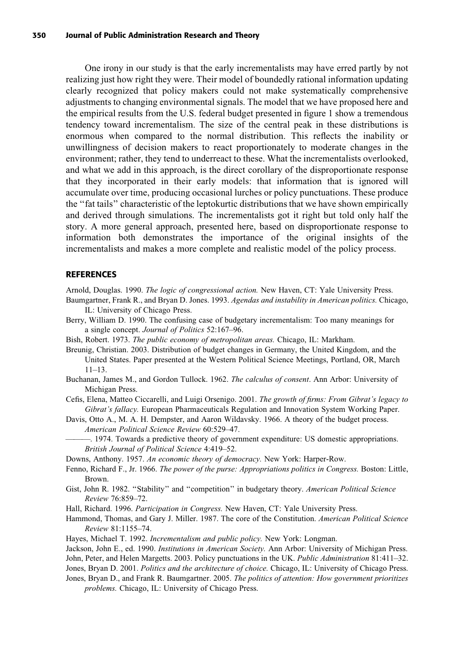One irony in our study is that the early incrementalists may have erred partly by not realizing just how right they were. Their model of boundedly rational information updating clearly recognized that policy makers could not make systematically comprehensive adjustments to changing environmental signals. The model that we have proposed here and the empirical results from the U.S. federal budget presented in figure 1 show a tremendous tendency toward incrementalism. The size of the central peak in these distributions is enormous when compared to the normal distribution. This reflects the inability or unwillingness of decision makers to react proportionately to moderate changes in the environment; rather, they tend to underreact to these. What the incrementalists overlooked, and what we add in this approach, is the direct corollary of the disproportionate response that they incorporated in their early models: that information that is ignored will accumulate over time, producing occasional lurches or policy punctuations. These produce the ''fat tails'' characteristic of the leptokurtic distributions that we have shown empirically and derived through simulations. The incrementalists got it right but told only half the story. A more general approach, presented here, based on disproportionate response to information both demonstrates the importance of the original insights of the incrementalists and makes a more complete and realistic model of the policy process.

# **REFERENCES**

Arnold, Douglas. 1990. The logic of congressional action. New Haven, CT: Yale University Press.

- Baumgartner, Frank R., and Bryan D. Jones. 1993. Agendas and instability in American politics. Chicago, IL: University of Chicago Press.
- Berry, William D. 1990. The confusing case of budgetary incrementalism: Too many meanings for a single concept. Journal of Politics 52:167–96.
- Bish, Robert. 1973. The public economy of metropolitan areas. Chicago, IL: Markham.
- Breunig, Christian. 2003. Distribution of budget changes in Germany, the United Kingdom, and the United States. Paper presented at the Western Political Science Meetings, Portland, OR, March 11–13.
- Buchanan, James M., and Gordon Tullock. 1962. The calculus of consent. Ann Arbor: University of Michigan Press.
- Cefis, Elena, Matteo Ciccarelli, and Luigi Orsenigo. 2001. The growth of firms: From Gibrat's legacy to Gibrat's fallacy. European Pharmaceuticals Regulation and Innovation System Working Paper.
- Davis, Otto A., M. A. H. Dempster, and Aaron Wildavsky. 1966. A theory of the budget process. American Political Science Review 60:529–47.
	- ———. 1974. Towards a predictive theory of government expenditure: US domestic appropriations. British Journal of Political Science 4:419–52.
- Downs, Anthony. 1957. An economic theory of democracy. New York: Harper-Row.
- Fenno, Richard F., Jr. 1966. The power of the purse: Appropriations politics in Congress. Boston: Little, Brown.
- Gist, John R. 1982. "Stability" and "competition" in budgetary theory. American Political Science Review 76:859–72.
- Hall, Richard. 1996. Participation in Congress. New Haven, CT: Yale University Press.
- Hammond, Thomas, and Gary J. Miller. 1987. The core of the Constitution. American Political Science Review 81:1155–74.
- Hayes, Michael T. 1992. Incrementalism and public policy. New York: Longman.
- Jackson, John E., ed. 1990. Institutions in American Society. Ann Arbor: University of Michigan Press. John, Peter, and Helen Margetts. 2003. Policy punctuations in the UK. Public Administration 81:411-32.
- Jones, Bryan D. 2001. Politics and the architecture of choice. Chicago, IL: University of Chicago Press.
- Jones, Bryan D., and Frank R. Baumgartner. 2005. The politics of attention: How government prioritizes problems. Chicago, IL: University of Chicago Press.